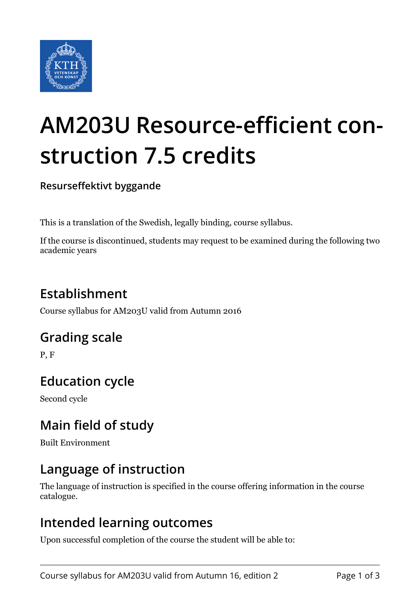

# **AM203U Resource-efficient construction 7.5 credits**

**Resurseffektivt byggande**

This is a translation of the Swedish, legally binding, course syllabus.

If the course is discontinued, students may request to be examined during the following two academic years

# **Establishment**

Course syllabus for AM203U valid from Autumn 2016

## **Grading scale**

P, F

# **Education cycle**

Second cycle

## **Main field of study**

Built Environment

## **Language of instruction**

The language of instruction is specified in the course offering information in the course catalogue.

#### **Intended learning outcomes**

Upon successful completion of the course the student will be able to: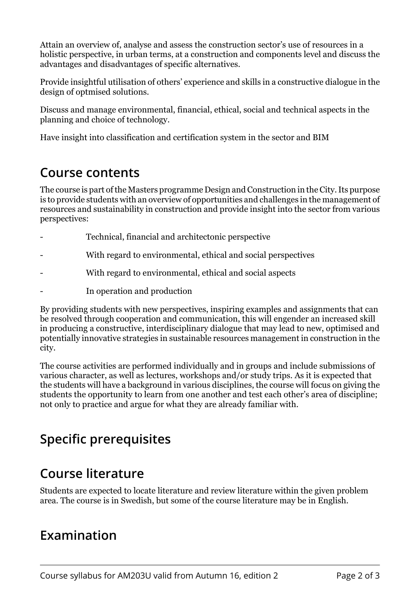Attain an overview of, analyse and assess the construction sector's use of resources in a holistic perspective, in urban terms, at a construction and components level and discuss the advantages and disadvantages of specific alternatives.

Provide insightful utilisation of others' experience and skills in a constructive dialogue in the design of optmised solutions.

Discuss and manage environmental, financial, ethical, social and technical aspects in the planning and choice of technology.

Have insight into classification and certification system in the sector and BIM

#### **Course contents**

The course is part of the Masters programme Design and Construction in the City. Its purpose is to provide students with an overview of opportunities and challenges in the management of resources and sustainability in construction and provide insight into the sector from various perspectives:

- Technical, financial and architectonic perspective
- With regard to environmental, ethical and social perspectives
- With regard to environmental, ethical and social aspects
- In operation and production

By providing students with new perspectives, inspiring examples and assignments that can be resolved through cooperation and communication, this will engender an increased skill in producing a constructive, interdisciplinary dialogue that may lead to new, optimised and potentially innovative strategies in sustainable resources management in construction in the city.

The course activities are performed individually and in groups and include submissions of various character, as well as lectures, workshops and/or study trips. As it is expected that the students will have a background in various disciplines, the course will focus on giving the students the opportunity to learn from one another and test each other's area of discipline; not only to practice and argue for what they are already familiar with.

## **Specific prerequisites**

#### **Course literature**

Students are expected to locate literature and review literature within the given problem area. The course is in Swedish, but some of the course literature may be in English.

#### **Examination**